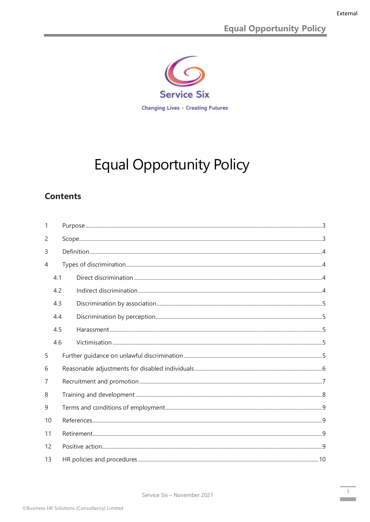**Equal Opportunity Policy** 



# **Equal Opportunity Policy**

# **Contents**

| 1  |     |  |  |  |  |  |
|----|-----|--|--|--|--|--|
| 2  |     |  |  |  |  |  |
| 3  |     |  |  |  |  |  |
| 4  |     |  |  |  |  |  |
|    | 4.1 |  |  |  |  |  |
|    | 4.2 |  |  |  |  |  |
|    | 4.3 |  |  |  |  |  |
|    | 4.4 |  |  |  |  |  |
|    | 4.5 |  |  |  |  |  |
|    | 4.6 |  |  |  |  |  |
| 5  |     |  |  |  |  |  |
| 6  |     |  |  |  |  |  |
| 7  |     |  |  |  |  |  |
| 8  |     |  |  |  |  |  |
| 9  |     |  |  |  |  |  |
| 10 |     |  |  |  |  |  |
| 11 |     |  |  |  |  |  |
| 12 |     |  |  |  |  |  |
| 13 |     |  |  |  |  |  |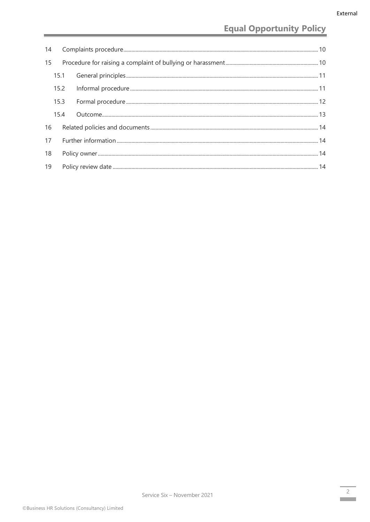# **Equal Opportunity Policy**

| 14 |      |  |  |  |  |  |
|----|------|--|--|--|--|--|
| 15 |      |  |  |  |  |  |
|    | 15.1 |  |  |  |  |  |
|    | 15.2 |  |  |  |  |  |
|    | 15.3 |  |  |  |  |  |
|    | 15.4 |  |  |  |  |  |
| 16 |      |  |  |  |  |  |
| 17 |      |  |  |  |  |  |
| 18 |      |  |  |  |  |  |
| 19 |      |  |  |  |  |  |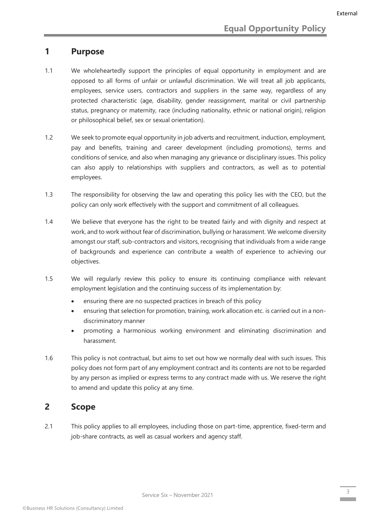#### <span id="page-2-0"></span>**1 Purpose**

- 1.1 We wholeheartedly support the principles of equal opportunity in employment and are opposed to all forms of unfair or unlawful discrimination. We will treat all job applicants, employees, service users, contractors and suppliers in the same way, regardless of any protected characteristic (age, disability, gender reassignment, marital or civil partnership status, pregnancy or maternity, race (including nationality, ethnic or national origin), religion or philosophical belief, sex or sexual orientation).
- 1.2 We seek to promote equal opportunity in job adverts and recruitment, induction, employment, pay and benefits, training and career development (including promotions), terms and conditions of service, and also when managing any grievance or disciplinary issues. This policy can also apply to relationships with suppliers and contractors, as well as to potential employees.
- 1.3 The responsibility for observing the law and operating this policy lies with the CEO, but the policy can only work effectively with the support and commitment of all colleagues.
- 1.4 We believe that everyone has the right to be treated fairly and with dignity and respect at work, and to work without fear of discrimination, bullying or harassment. We welcome diversity amongst our staff, sub-contractors and visitors, recognising that individuals from a wide range of backgrounds and experience can contribute a wealth of experience to achieving our objectives.
- 1.5 We will regularly review this policy to ensure its continuing compliance with relevant employment legislation and the continuing success of its implementation by:
	- ensuring there are no suspected practices in breach of this policy
	- ensuring that selection for promotion, training, work allocation etc. is carried out in a nondiscriminatory manner
	- promoting a harmonious working environment and eliminating discrimination and harassment.
- 1.6 This policy is not contractual, but aims to set out how we normally deal with such issues. This policy does not form part of any employment contract and its contents are not to be regarded by any person as implied or express terms to any contract made with us. We reserve the right to amend and update this policy at any time.

#### <span id="page-2-1"></span>**2 Scope**

2.1 This policy applies to all employees, including those on part-time, apprentice, fixed-term and job-share contracts, as well as casual workers and agency staff.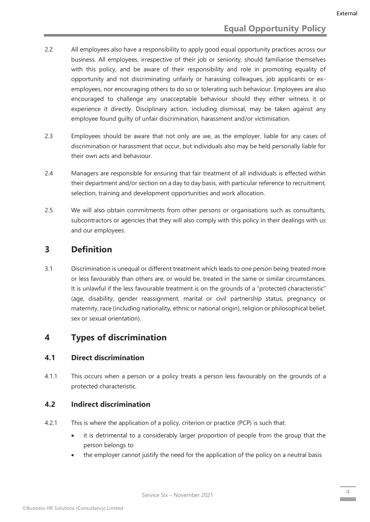- 2.2 All employees also have a responsibility to apply good equal opportunity practices across our business. All employees, irrespective of their job or seniority, should familiarise themselves with this policy, and be aware of their responsibility and role in promoting equality of opportunity and not discriminating unfairly or harassing colleagues, job applicants or exemployees, nor encouraging others to do so or tolerating such behaviour. Employees are also encouraged to challenge any unacceptable behaviour should they either witness it or experience it directly. Disciplinary action, including dismissal, may be taken against any employee found guilty of unfair discrimination, harassment and/or victimisation.
- 2.3 Employees should be aware that not only are we, as the employer, liable for any cases of discrimination or harassment that occur, but individuals also may be held personally liable for their own acts and behaviour.
- 2.4 Managers are responsible for ensuring that fair treatment of all individuals is effected within their department and/or section on a day to day basis, with particular reference to recruitment, selection, training and development opportunities and work allocation.
- 2.5 We will also obtain commitments from other persons or organisations such as consultants, subcontractors or agencies that they will also comply with this policy in their dealings with us and our employees.

# <span id="page-3-0"></span>**3 Definition**

3.1 Discrimination is unequal or different treatment which leads to one person being treated more or less favourably than others are, or would be, treated in the same or similar circumstances. It is unlawful if the less favourable treatment is on the grounds of a "protected characteristic" (age, disability, gender reassignment, marital or civil partnership status, pregnancy or maternity, race (including nationality, ethnic or national origin), religion or philosophical belief, sex or sexual orientation).

# <span id="page-3-1"></span>**4 Types of discrimination**

#### <span id="page-3-2"></span>**4.1 Direct discrimination**

4.1.1 This occurs when a person or a policy treats a person less favourably on the grounds of a protected characteristic.

#### <span id="page-3-3"></span>**4.2 Indirect discrimination**

- 4.2.1 This is where the application of a policy, criterion or practice (PCP) is such that:
	- it is detrimental to a considerably larger proportion of people from the group that the person belongs to
	- the employer cannot justify the need for the application of the policy on a neutral basis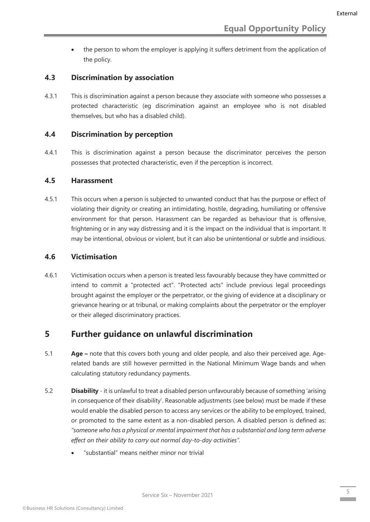• the person to whom the employer is applying it suffers detriment from the application of the policy.

#### <span id="page-4-0"></span>**4.3 Discrimination by association**

4.3.1 This is discrimination against a person because they associate with someone who possesses a protected characteristic (eg discrimination against an employee who is not disabled themselves, but who has a disabled child).

#### <span id="page-4-1"></span>**4.4 Discrimination by perception**

4.4.1 This is discrimination against a person because the discriminator perceives the person possesses that protected characteristic, even if the perception is incorrect.

#### <span id="page-4-2"></span>**4.5 Harassment**

4.5.1 This occurs when a person is subjected to unwanted conduct that has the purpose or effect of violating their dignity or creating an intimidating, hostile, degrading, humiliating or offensive environment for that person. Harassment can be regarded as behaviour that is offensive, frightening or in any way distressing and it is the impact on the individual that is important. It may be intentional, obvious or violent, but it can also be unintentional or subtle and insidious.

#### <span id="page-4-3"></span>**4.6 Victimisation**

4.6.1 Victimisation occurs when a person is treated less favourably because they have committed or intend to commit a "protected act". "Protected acts" include previous legal proceedings brought against the employer or the perpetrator, or the giving of evidence at a disciplinary or grievance hearing or at tribunal, or making complaints about the perpetrator or the employer or their alleged discriminatory practices.

# <span id="page-4-4"></span>**5 Further guidance on unlawful discrimination**

- 5.1 **Age –** note that this covers both young and older people, and also their perceived age. Agerelated bands are still however permitted in the National Minimum Wage bands and when calculating statutory redundancy payments.
- 5.2 **Disability** it is unlawful to treat a disabled person unfavourably because of something 'arising in consequence of their disability'. Reasonable adjustments (see below) must be made if these would enable the disabled person to access any services or the ability to be employed, trained, or promoted to the same extent as a non-disabled person. A disabled person is defined as: *"someone who has a physical or mental impairment that has a substantial and long term adverse effect on their ability to carry out normal day-to-day activities".*
	- "substantial" means neither minor nor trivial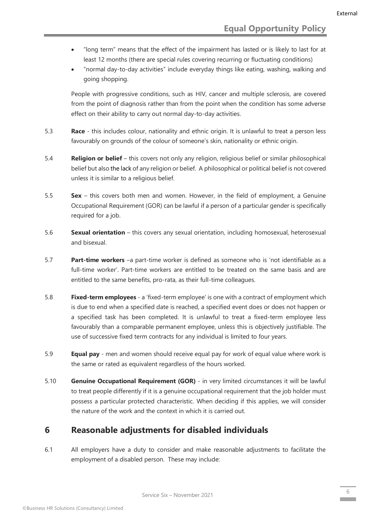- "long term" means that the effect of the impairment has lasted or is likely to last for at least 12 months (there are special rules covering recurring or fluctuating conditions)
- "normal day-to-day activities" include everyday things like eating, washing, walking and going shopping.

People with progressive conditions, such as HIV, cancer and multiple sclerosis, are covered from the point of diagnosis rather than from the point when the condition has some adverse effect on their ability to carry out normal day-to-day activities.

- 5.3 **Race** this includes colour, nationality and ethnic origin. It is unlawful to treat a person less favourably on grounds of the colour of someone's skin, nationality or ethnic origin.
- 5.4 **Religion or belief** this covers not only any religion, religious belief or similar philosophical belief but also the lack of any religion or belief. A philosophical or political belief is not covered unless it is similar to a religious belief.
- 5.5 **Sex** this covers both men and women. However, in the field of employment, a Genuine Occupational Requirement (GOR) can be lawful if a person of a particular gender is specifically required for a job.
- 5.6 **Sexual orientation** this covers any sexual orientation, including homosexual, heterosexual and bisexual.
- 5.7 **Part-time workers** –a part-time worker is defined as someone who is 'not identifiable as a full-time worker'. Part-time workers are entitled to be treated on the same basis and are entitled to the same benefits, pro-rata, as their full-time colleagues.
- 5.8 **Fixed-term employees**  a 'fixed-term employee' is one with a contract of employment which is due to end when a specified date is reached, a specified event does or does not happen or a specified task has been completed. It is unlawful to treat a fixed-term employee less favourably than a comparable permanent employee, unless this is objectively justifiable. The use of successive fixed term contracts for any individual is limited to four years.
- 5.9 **Equal pay** men and women should receive equal pay for work of equal value where work is the same or rated as equivalent regardless of the hours worked.
- 5.10 **Genuine Occupational Requirement (GOR)** in very limited circumstances it will be lawful to treat people differently if it is a genuine occupational requirement that the job holder must possess a particular protected characteristic. When deciding if this applies, we will consider the nature of the work and the context in which it is carried out.

# <span id="page-5-0"></span>**6 Reasonable adjustments for disabled individuals**

6.1 All employers have a duty to consider and make reasonable adjustments to facilitate the employment of a disabled person. These may include: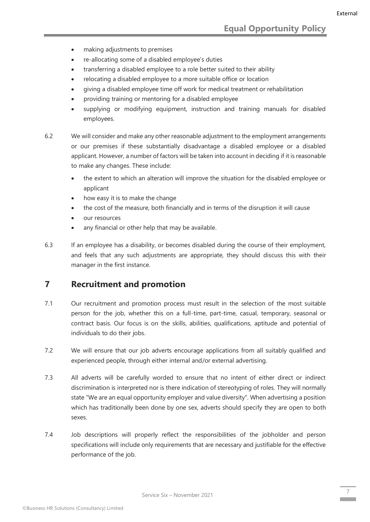- making adjustments to premises
- re-allocating some of a disabled employee's duties
- transferring a disabled employee to a role better suited to their ability
- relocating a disabled employee to a more suitable office or location
- giving a disabled employee time off work for medical treatment or rehabilitation
- providing training or mentoring for a disabled employee
- supplying or modifying equipment, instruction and training manuals for disabled employees.
- 6.2 We will consider and make any other reasonable adjustment to the employment arrangements or our premises if these substantially disadvantage a disabled employee or a disabled applicant. However, a number of factors will be taken into account in deciding if it is reasonable to make any changes. These include:
	- the extent to which an alteration will improve the situation for the disabled employee or applicant
	- how easy it is to make the change
	- the cost of the measure, both financially and in terms of the disruption it will cause
	- our resources
	- any financial or other help that may be available.
- 6.3 If an employee has a disability, or becomes disabled during the course of their employment, and feels that any such adjustments are appropriate, they should discuss this with their manager in the first instance.

# <span id="page-6-0"></span>**7 Recruitment and promotion**

- 7.1 Our recruitment and promotion process must result in the selection of the most suitable person for the job, whether this on a full-time, part-time, casual, temporary, seasonal or contract basis. Our focus is on the skills, abilities, qualifications, aptitude and potential of individuals to do their jobs.
- 7.2 We will ensure that our job adverts encourage applications from all suitably qualified and experienced people, through either internal and/or external advertising.
- 7.3 All adverts will be carefully worded to ensure that no intent of either direct or indirect discrimination is interpreted nor is there indication of stereotyping of roles. They will normally state "We are an equal opportunity employer and value diversity". When advertising a position which has traditionally been done by one sex, adverts should specify they are open to both sexes.
- 7.4 Job descriptions will properly reflect the responsibilities of the jobholder and person specifications will include only requirements that are necessary and justifiable for the effective performance of the job.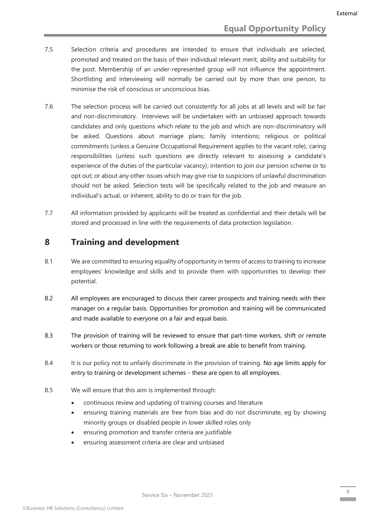- 7.5 Selection criteria and procedures are intended to ensure that individuals are selected, promoted and treated on the basis of their individual relevant merit, ability and suitability for the post. Membership of an under-represented group will not influence the appointment. Shortlisting and interviewing will normally be carried out by more than one person, to minimise the risk of conscious or unconscious bias.
- 7.6 The selection process will be carried out consistently for all jobs at all levels and will be fair and non-discriminatory. Interviews will be undertaken with an unbiased approach towards candidates and only questions which relate to the job and which are non-discriminatory will be asked. Questions about marriage plans; family intentions; religious or political commitments (unless a Genuine Occupational Requirement applies to the vacant role); caring responsibilities (unless such questions are directly relevant to assessing a candidate's experience of the duties of the particular vacancy); intention to join our pension scheme or to opt out; or about any other issues which may give rise to suspicions of unlawful discrimination should not be asked. Selection tests will be specifically related to the job and measure an individual's actual, or inherent, ability to do or train for the job.
- 7.7 All information provided by applicants will be treated as confidential and their details will be stored and processed in line with the requirements of data protection legislation.

#### <span id="page-7-0"></span>**8 Training and development**

- 8.1 We are committed to ensuring equality of opportunity in terms of access to training to increase employees' knowledge and skills and to provide them with opportunities to develop their potential.
- 8.2 All employees are encouraged to discuss their career prospects and training needs with their manager on a regular basis. Opportunities for promotion and training will be communicated and made available to everyone on a fair and equal basis.
- 8.3 The provision of training will be reviewed to ensure that part-time workers, shift or remote workers or those returning to work following a break are able to benefit from training.
- 8.4 It is our policy not to unfairly discriminate in the provision of training. No age limits apply for entry to training or development schemes - these are open to all employees.
- 8.5 We will ensure that this aim is implemented through:
	- continuous review and updating of training courses and literature
	- ensuring training materials are free from bias and do not discriminate, eg by showing minority groups or disabled people in lower skilled roles only
	- ensuring promotion and transfer criteria are justifiable
	- ensuring assessment criteria are clear and unbiased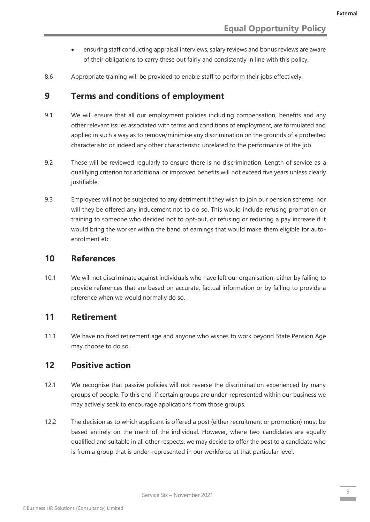- ensuring staff conducting appraisal interviews, salary reviews and bonus reviews are aware of their obligations to carry these out fairly and consistently in line with this policy.
- 8.6 Appropriate training will be provided to enable staff to perform their jobs effectively.

#### <span id="page-8-0"></span>**9 Terms and conditions of employment**

- 9.1 We will ensure that all our employment policies including compensation, benefits and any other relevant issues associated with terms and conditions of employment, are formulated and applied in such a way as to remove/minimise any discrimination on the grounds of a protected characteristic or indeed any other characteristic unrelated to the performance of the job.
- 9.2 These will be reviewed regularly to ensure there is no discrimination. Length of service as a qualifying criterion for additional or improved benefits will not exceed five years unless clearly justifiable.
- 9.3 Employees will not be subjected to any detriment if they wish to join our pension scheme, nor will they be offered any inducement not to do so. This would include refusing promotion or training to someone who decided not to opt-out, or refusing or reducing a pay increase if it would bring the worker within the band of earnings that would make them eligible for autoenrolment etc.

#### <span id="page-8-1"></span>**10 References**

10.1 We will not discriminate against individuals who have left our organisation, either by failing to provide references that are based on accurate, factual information or by failing to provide a reference when we would normally do so.

# <span id="page-8-2"></span>**11 Retirement**

11.1 We have no fixed retirement age and anyone who wishes to work beyond State Pension Age may choose to do so.

# <span id="page-8-3"></span>**12 Positive action**

- 12.1 We recognise that passive policies will not reverse the discrimination experienced by many groups of people. To this end, if certain groups are under-represented within our business we may actively seek to encourage applications from those groups.
- 12.2 The decision as to which applicant is offered a post (either recruitment or promotion) must be based entirely on the merit of the individual. However, where two candidates are equally qualified and suitable in all other respects, we may decide to offer the post to a candidate who is from a group that is under-represented in our workforce at that particular level.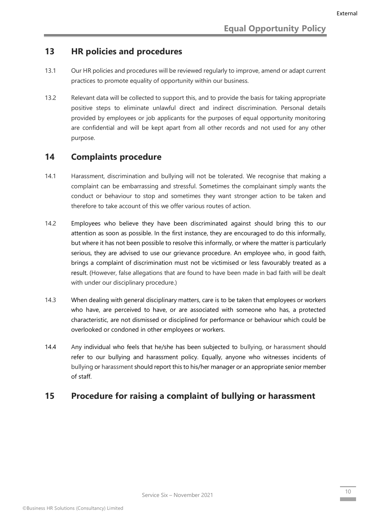# <span id="page-9-0"></span>**13 HR policies and procedures**

- 13.1 Our HR policies and procedures will be reviewed regularly to improve, amend or adapt current practices to promote equality of opportunity within our business.
- 13.2 Relevant data will be collected to support this, and to provide the basis for taking appropriate positive steps to eliminate unlawful direct and indirect discrimination. Personal details provided by employees or job applicants for the purposes of equal opportunity monitoring are confidential and will be kept apart from all other records and not used for any other purpose.

#### <span id="page-9-1"></span>**14 Complaints procedure**

- 14.1 Harassment, discrimination and bullying will not be tolerated. We recognise that making a complaint can be embarrassing and stressful. Sometimes the complainant simply wants the conduct or behaviour to stop and sometimes they want stronger action to be taken and therefore to take account of this we offer various routes of action.
- 14.2 Employees who believe they have been discriminated against should bring this to our attention as soon as possible. In the first instance, they are encouraged to do this informally, but where it has not been possible to resolve this informally, or where the matter is particularly serious, they are advised to use our grievance procedure. An employee who, in good faith, brings a complaint of discrimination must not be victimised or less favourably treated as a result. (However, false allegations that are found to have been made in bad faith will be dealt with under our disciplinary procedure.)
- 14.3 When dealing with general disciplinary matters, care is to be taken that employees or workers who have, are perceived to have, or are associated with someone who has, a protected characteristic, are not dismissed or disciplined for performance or behaviour which could be overlooked or condoned in other employees or workers.
- 14.4 Any individual who feels that he/she has been subjected to bullying, or harassment should refer to our bullying and harassment policy. Equally, anyone who witnesses incidents of bullying or harassment should report this to his/her manager or an appropriate senior member of staff.

# <span id="page-9-2"></span>**15 Procedure for raising a complaint of bullying or harassment**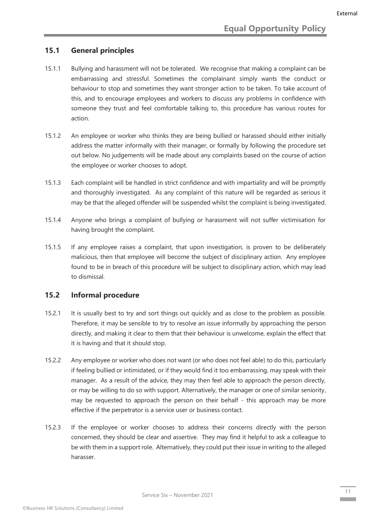#### <span id="page-10-0"></span>**15.1 General principles**

- 15.1.1 Bullying and harassment will not be tolerated. We recognise that making a complaint can be embarrassing and stressful. Sometimes the complainant simply wants the conduct or behaviour to stop and sometimes they want stronger action to be taken. To take account of this, and to encourage employees and workers to discuss any problems in confidence with someone they trust and feel comfortable talking to, this procedure has various routes for action.
- 15.1.2 An employee or worker who thinks they are being bullied or harassed should either initially address the matter informally with their manager, or formally by following the procedure set out below. No judgements will be made about any complaints based on the course of action the employee or worker chooses to adopt.
- 15.1.3 Each complaint will be handled in strict confidence and with impartiality and will be promptly and thoroughly investigated. As any complaint of this nature will be regarded as serious it may be that the alleged offender will be suspended whilst the complaint is being investigated.
- 15.1.4 Anyone who brings a complaint of bullying or harassment will not suffer victimisation for having brought the complaint.
- 15.1.5 If any employee raises a complaint, that upon investigation, is proven to be deliberately malicious, then that employee will become the subject of disciplinary action. Any employee found to be in breach of this procedure will be subject to disciplinary action, which may lead to dismissal.

#### <span id="page-10-1"></span>**15.2 Informal procedure**

- 15.2.1 It is usually best to try and sort things out quickly and as close to the problem as possible. Therefore, it may be sensible to try to resolve an issue informally by approaching the person directly, and making it clear to them that their behaviour is unwelcome, explain the effect that it is having and that it should stop.
- 15.2.2 Any employee or worker who does not want (or who does not feel able) to do this, particularly if feeling bullied or intimidated, or if they would find it too embarrassing, may speak with their manager. As a result of the advice, they may then feel able to approach the person directly, or may be willing to do so with support. Alternatively, the manager or one of similar seniority, may be requested to approach the person on their behalf - this approach may be more effective if the perpetrator is a service user or business contact.
- 15.2.3 If the employee or worker chooses to address their concerns directly with the person concerned, they should be clear and assertive. They may find it helpful to ask a colleague to be with them in a support role. Alternatively, they could put their issue in writing to the alleged harasser.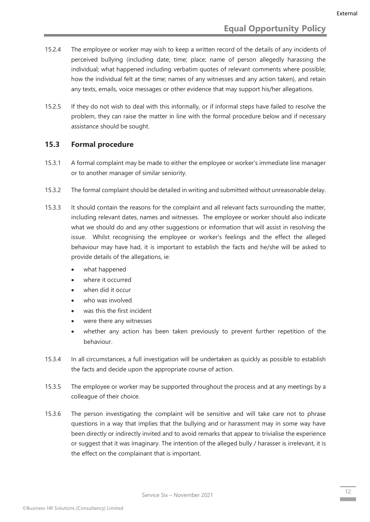- 15.2.4 The employee or worker may wish to keep a written record of the details of any incidents of perceived bullying (including date; time; place; name of person allegedly harassing the individual; what happened including verbatim quotes of relevant comments where possible; how the individual felt at the time; names of any witnesses and any action taken), and retain any texts, emails, voice messages or other evidence that may support his/her allegations.
- 15.2.5 If they do not wish to deal with this informally, or if informal steps have failed to resolve the problem, they can raise the matter in line with the formal procedure below and if necessary assistance should be sought.

#### <span id="page-11-0"></span>**15.3 Formal procedure**

- 15.3.1 A formal complaint may be made to either the employee or worker's immediate line manager or to another manager of similar seniority.
- 15.3.2 The formal complaint should be detailed in writing and submitted without unreasonable delay.
- 15.3.3 It should contain the reasons for the complaint and all relevant facts surrounding the matter, including relevant dates, names and witnesses. The employee or worker should also indicate what we should do and any other suggestions or information that will assist in resolving the issue. Whilst recognising the employee or worker's feelings and the effect the alleged behaviour may have had, it is important to establish the facts and he/she will be asked to provide details of the allegations, ie:
	- what happened
	- where it occurred
	- when did it occur
	- who was involved
	- was this the first incident
	- were there any witnesses
	- whether any action has been taken previously to prevent further repetition of the behaviour.
- 15.3.4 In all circumstances, a full investigation will be undertaken as quickly as possible to establish the facts and decide upon the appropriate course of action.
- 15.3.5 The employee or worker may be supported throughout the process and at any meetings by a colleague of their choice.
- 15.3.6 The person investigating the complaint will be sensitive and will take care not to phrase questions in a way that implies that the bullying and or harassment may in some way have been directly or indirectly invited and to avoid remarks that appear to trivialise the experience or suggest that it was imaginary. The intention of the alleged bully / harasser is irrelevant, it is the effect on the complainant that is important.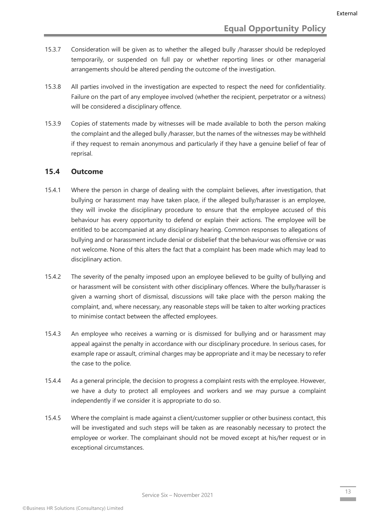- 15.3.7 Consideration will be given as to whether the alleged bully /harasser should be redeployed temporarily, or suspended on full pay or whether reporting lines or other managerial arrangements should be altered pending the outcome of the investigation.
- 15.3.8 All parties involved in the investigation are expected to respect the need for confidentiality. Failure on the part of any employee involved (whether the recipient, perpetrator or a witness) will be considered a disciplinary offence.
- 15.3.9 Copies of statements made by witnesses will be made available to both the person making the complaint and the alleged bully /harasser, but the names of the witnesses may be withheld if they request to remain anonymous and particularly if they have a genuine belief of fear of reprisal.

#### <span id="page-12-0"></span>**15.4 Outcome**

- 15.4.1 Where the person in charge of dealing with the complaint believes, after investigation, that bullying or harassment may have taken place, if the alleged bully/harasser is an employee, they will invoke the disciplinary procedure to ensure that the employee accused of this behaviour has every opportunity to defend or explain their actions. The employee will be entitled to be accompanied at any disciplinary hearing. Common responses to allegations of bullying and or harassment include denial or disbelief that the behaviour was offensive or was not welcome. None of this alters the fact that a complaint has been made which may lead to disciplinary action.
- 15.4.2 The severity of the penalty imposed upon an employee believed to be guilty of bullying and or harassment will be consistent with other disciplinary offences. Where the bully/harasser is given a warning short of dismissal, discussions will take place with the person making the complaint, and, where necessary, any reasonable steps will be taken to alter working practices to minimise contact between the affected employees.
- 15.4.3 An employee who receives a warning or is dismissed for bullying and or harassment may appeal against the penalty in accordance with our disciplinary procedure. In serious cases, for example rape or assault, criminal charges may be appropriate and it may be necessary to refer the case to the police.
- 15.4.4 As a general principle, the decision to progress a complaint rests with the employee. However, we have a duty to protect all employees and workers and we may pursue a complaint independently if we consider it is appropriate to do so.
- 15.4.5 Where the complaint is made against a client/customer supplier or other business contact, this will be investigated and such steps will be taken as are reasonably necessary to protect the employee or worker. The complainant should not be moved except at his/her request or in exceptional circumstances.